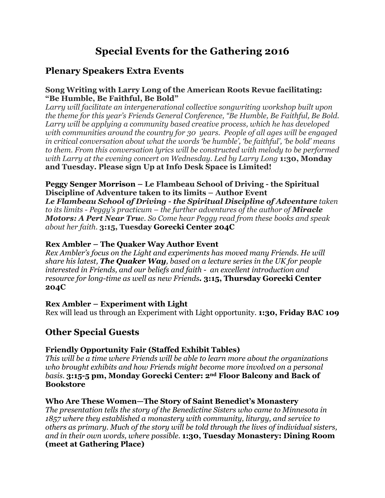# **Special Events for the Gathering 2016**

# **Plenary Speakers Extra Events**

### **Song Writing with Larry Long of the American Roots Revue facilitating: "Be Humble, Be Faithful, Be Bold"**

*Larry will facilitate an intergenerational collective songwriting workshop built upon the theme for this year's Friends General Conference, "Be Humble, Be Faithful, Be Bold. Larry will be applying a community based creative process, which he has developed with communities around the country for 30 years. People of all ages will be engaged in critical conversation about what the words 'be humble', 'be faithful', 'be bold' means to them. From this conversation lyrics will be constructed with melody to be performed with Larry at the evening concert on Wednesday. Led by Larry Long* **1:30, Monday and Tuesday. Please sign Up at Info Desk Space is Limited!**

## **Peggy Senger Morrison – Le Flambeau School of Driving - the Spiritual Discipline of Adventure taken to its limits – Author Event**

*Le Flambeau School of Driving - the Spiritual Discipline of Adventure taken to its limits - Peggy's practicum – the further adventures of the author of Miracle Motors: A Pert Near True. So Come hear Peggy read from these books and speak about her faith.* **3:15, Tuesday Gorecki Center 204C**

# **Rex Ambler – The Quaker Way Author Event**

*Rex Ambler's focus on the Light and experiments has moved many Friends. He will share his latest, The Quaker Way, based on a lecture series in the UK for people interested in Friends, and our beliefs and faith - an excellent introduction and resource for long-time as well as new Friends.* **3:15, Thursday Gorecki Center 204C**

# **Rex Ambler – Experiment with Light**

Rex will lead us through an Experiment with Light opportunity. **1:30, Friday BAC 109**

# **Other Special Guests**

# **Friendly Opportunity Fair (Staffed Exhibit Tables)**

*This will be a time where Friends will be able to learn more about the organizations who brought exhibits and how Friends might become more involved on a personal basis*. **3:15-5 pm, Monday Gorecki Center: 2nd Floor Balcony and Back of Bookstore**

## **Who Are These Women—The Story of Saint Benedict's Monastery**

*The presentation tells the story of the Benedictine Sisters who came to Minnesota in 1857 where they established a monastery with community, liturgy, and service to others as primary. Much of the story will be told through the lives of individual sisters, and in their own words, where possible.* **1:30, Tuesday Monastery: Dining Room (meet at Gathering Place)**